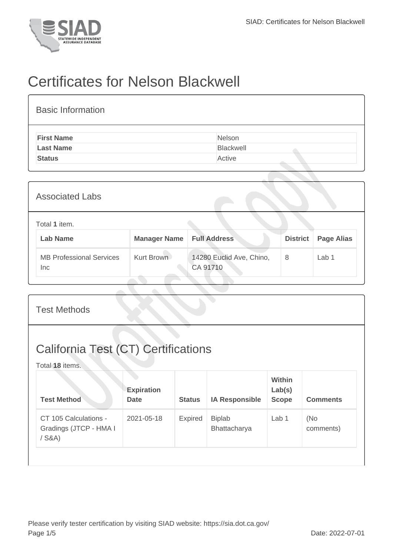

## Certificates for Nelson Blackwell

| <b>Basic Information</b> |           |
|--------------------------|-----------|
| <b>First Name</b>        | Nelson    |
| <b>Last Name</b>         | Blackwell |
| <b>Status</b>            | Active    |

| <b>Associated Labs</b> |                                               |                     |                                      |                 |                   |
|------------------------|-----------------------------------------------|---------------------|--------------------------------------|-----------------|-------------------|
|                        | Total 1 item.<br><b>Lab Name</b>              | <b>Manager Name</b> | <b>Full Address</b>                  | <b>District</b> | <b>Page Alias</b> |
|                        | <b>MB Professional Services</b><br><b>Inc</b> | Kurt Brown          | 14280 Euclid Ave, Chino,<br>CA 91710 | 8               | Lab 1             |

| <b>Test Methods</b>                                           |                                  |               |                               |                                         |                  |  |  |
|---------------------------------------------------------------|----------------------------------|---------------|-------------------------------|-----------------------------------------|------------------|--|--|
| <b>California Test (CT) Certifications</b><br>Total 18 items. |                                  |               |                               |                                         |                  |  |  |
| <b>Test Method</b>                                            | <b>Expiration</b><br><b>Date</b> | <b>Status</b> | <b>IA Responsible</b>         | <b>Within</b><br>Lab(s)<br><b>Scope</b> | <b>Comments</b>  |  |  |
| CT 105 Calculations -<br>Gradings (JTCP - HMA I<br>$/$ S&A)   | 2021-05-18                       | Expired       | <b>Biplab</b><br>Bhattacharya | Lab <sub>1</sub>                        | (No<br>comments) |  |  |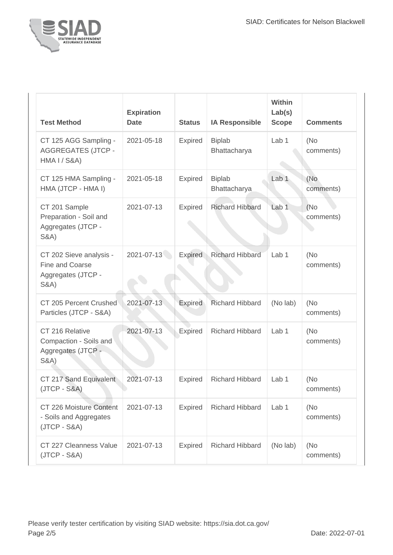

| <b>Test Method</b>                                                                  | <b>Expiration</b><br><b>Date</b> | <b>Status</b>  | <b>IA Responsible</b>         | Within<br>Lab(s)<br><b>Scope</b> | <b>Comments</b>   |
|-------------------------------------------------------------------------------------|----------------------------------|----------------|-------------------------------|----------------------------------|-------------------|
| CT 125 AGG Sampling -<br><b>AGGREGATES (JTCP -</b><br><b>HMA I / S&amp;A)</b>       | 2021-05-18                       | Expired        | <b>Biplab</b><br>Bhattacharya | Lab 1                            | (No)<br>comments) |
| CT 125 HMA Sampling -<br>HMA (JTCP - HMA I)                                         | 2021-05-18                       | <b>Expired</b> | <b>Biplab</b><br>Bhattacharya | Lab <sub>1</sub>                 | (No<br>comments)  |
| CT 201 Sample<br>Preparation - Soil and<br>Aggregates (JTCP -<br><b>S&amp;A)</b>    | 2021-07-13                       | <b>Expired</b> | <b>Richard Hibbard</b>        | Lab <sub>1</sub>                 | (No)<br>comments) |
| CT 202 Sieve analysis -<br>Fine and Coarse<br>Aggregates (JTCP -<br><b>S&amp;A)</b> | 2021-07-13                       | Expired        | <b>Richard Hibbard</b>        | Lab <sub>1</sub>                 | (No)<br>comments) |
| CT 205 Percent Crushed<br>Particles (JTCP - S&A)                                    | 2021-07-13                       | Expired        | <b>Richard Hibbard</b>        | (No lab)                         | (No<br>comments)  |
| CT 216 Relative<br>Compaction - Soils and<br>Aggregates (JTCP -<br><b>S&amp;A)</b>  | 2021-07-13                       | Expired        | <b>Richard Hibbard</b>        | Lab <sub>1</sub>                 | (No<br>comments)  |
| CT 217 Sand Equivalent<br>$(JTCP - S&A)$                                            | 2021-07-13                       | <b>Expired</b> | <b>Richard Hibbard</b>        | Lab <sub>1</sub>                 | (No<br>comments)  |
| CT 226 Moisture Content<br>- Soils and Aggregates<br>$(JTCP - S&A)$                 | 2021-07-13                       | <b>Expired</b> | <b>Richard Hibbard</b>        | Lab 1                            | (No)<br>comments) |
| CT 227 Cleanness Value<br>$(JTCP - S&A)$                                            | 2021-07-13                       | <b>Expired</b> | <b>Richard Hibbard</b>        | (No lab)                         | (No)<br>comments) |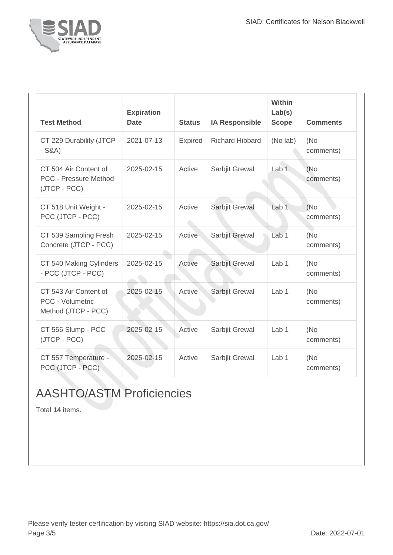

| <b>Test Method</b>                                                      | <b>Expiration</b><br><b>Date</b> | <b>Status</b>  | <b>IA Responsible</b>  | Within<br>Lab(s)<br><b>Scope</b> | <b>Comments</b>   |
|-------------------------------------------------------------------------|----------------------------------|----------------|------------------------|----------------------------------|-------------------|
| CT 229 Durability (JTCP<br>$-S&A)$                                      | 2021-07-13                       | <b>Expired</b> | <b>Richard Hibbard</b> | (No lab)                         | (No<br>comments)  |
| CT 504 Air Content of<br><b>PCC - Pressure Method</b><br>(JTCP - PCC)   | 2025-02-15                       | Active         | Sarbjit Grewal         | Lab <sub>1</sub>                 | (No)<br>comments) |
| CT 518 Unit Weight -<br>PCC (JTCP - PCC)                                | 2025-02-15                       | Active         | Sarbjit Grewal         | Lab <sub>1</sub>                 | (No)<br>comments) |
| CT 539 Sampling Fresh<br>Concrete (JTCP - PCC)                          | 2025-02-15                       | Active         | Sarbjit Grewal         | Lab <sub>1</sub>                 | (No<br>comments)  |
| CT 540 Making Cylinders<br>- PCC (JTCP - PCC)                           | 2025-02-15                       | Active         | Sarbjit Grewal         | Lab <sub>1</sub>                 | (No)<br>comments) |
| CT 543 Air Content of<br><b>PCC - Volumetric</b><br>Method (JTCP - PCC) | 2025-02-15                       | Active         | Sarbjit Grewal         | Lab <sub>1</sub>                 | (No<br>comments)  |
| CT 556 Slump - PCC<br>(JTCP - PCC)                                      | 2025-02-15                       | Active         | Sarbjit Grewal         | Lab <sub>1</sub>                 | (No)<br>comments) |
| CT 557 Temperature -<br>PCC (JTCP - PCC)                                | 2025-02-15                       | Active         | Sarbjit Grewal         | Lab <sub>1</sub>                 | (No)<br>comments) |

## AASHTO/ASTM Proficiencies

Total **14** items.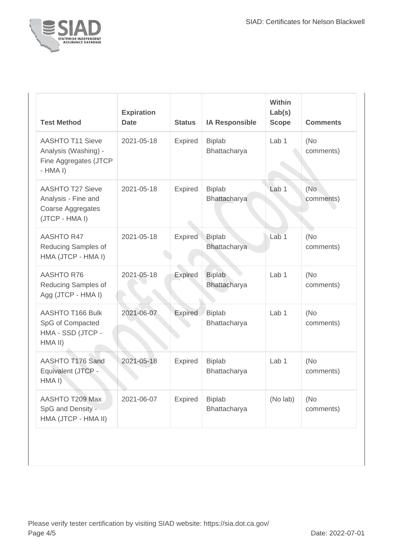

| <b>Test Method</b>                                                                           | <b>Expiration</b><br><b>Date</b> | <b>Status</b>  | <b>IA Responsible</b>         | <b>Within</b><br>Lab(s)<br><b>Scope</b> | <b>Comments</b>   |
|----------------------------------------------------------------------------------------------|----------------------------------|----------------|-------------------------------|-----------------------------------------|-------------------|
| <b>AASHTO T11 Sieve</b><br>Analysis (Washing) -<br>Fine Aggregates (JTCP<br>$-HMA I)$        | 2021-05-18                       | <b>Expired</b> | <b>Biplab</b><br>Bhattacharya | Lab <sub>1</sub>                        | (No<br>comments)  |
| <b>AASHTO T27 Sieve</b><br>Analysis - Fine and<br><b>Coarse Aggregates</b><br>(JTCP - HMA I) | 2021-05-18                       | Expired        | <b>Biplab</b><br>Bhattacharya | Lab <sub>1</sub>                        | (No<br>comments)  |
| <b>AASHTO R47</b><br>Reducing Samples of<br>HMA (JTCP - HMA I)                               | 2021-05-18                       | Expired        | <b>Biplab</b><br>Bhattacharya | Lab <sub>1</sub>                        | (No<br>comments)  |
| <b>AASHTO R76</b><br>Reducing Samples of<br>Agg (JTCP - HMA I)                               | 2021-05-18                       | Expired        | <b>Biplab</b><br>Bhattacharya | Lab <sub>1</sub>                        | (No<br>comments)  |
| AASHTO T166 Bulk<br>SpG of Compacted<br>HMA - SSD (JTCP -<br>HMA II)                         | 2021-06-07                       | Expired        | <b>Biplab</b><br>Bhattacharya | Lab <sub>1</sub>                        | (No<br>comments)  |
| AASHTO T176 Sand<br>Equivalent (JTCP -<br>HMA I)                                             | 2021-05-18                       | Expired        | <b>Biplab</b><br>Bhattacharya | Lab <sub>1</sub>                        | (No<br>comments)  |
| AASHTO T209 Max<br>SpG and Density -<br>HMA (JTCP - HMA II)                                  | 2021-06-07                       | <b>Expired</b> | <b>Biplab</b><br>Bhattacharya | (No lab)                                | (No)<br>comments) |